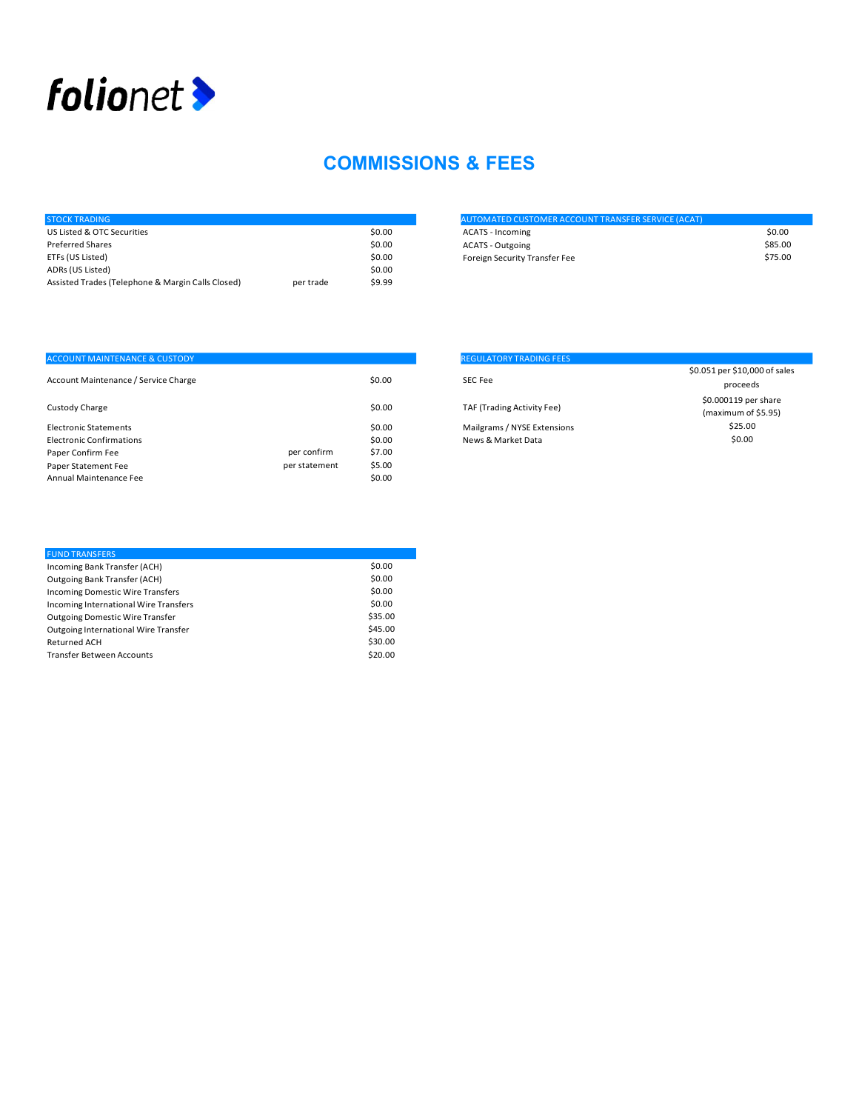

## COMMISSIONS & FEES

| <b>STOCK TRADING</b>                              |           |        | <b>AUTOMATED CUSTOMER ACCOUNT TRANSFER SERVICE (ACAT)</b> |         |
|---------------------------------------------------|-----------|--------|-----------------------------------------------------------|---------|
| US Listed & OTC Securities                        |           | \$0.00 | <b>ACATS - Incoming</b>                                   | \$0.00  |
| Preferred Shares                                  |           | \$0.00 | <b>ACATS - Outgoing</b>                                   | \$85.00 |
| ETFs (US Listed)                                  |           | \$0.00 | Foreign Security Transfer Fee                             | \$75.00 |
| ADRs (US Listed)                                  |           | \$0.00 |                                                           |         |
| Assisted Trades (Telephone & Margin Calls Closed) | per trade | \$9.99 |                                                           |         |
|                                                   |           |        |                                                           |         |

| <b>AUTOMATED CUSTOMER ACCOUNT TRANSFER SERVICE (ACAT)</b> |         |
|-----------------------------------------------------------|---------|
| ACATS - Incoming                                          | \$0.00  |
| ACATS - Outgoing                                          | \$85.00 |
| Foreign Security Transfer Fee                             | \$75.00 |

|               |        | <b>REGULATORY TRADING FEES</b> |                                           |
|---------------|--------|--------------------------------|-------------------------------------------|
|               |        |                                | \$0.051 per \$10,000 of                   |
|               |        |                                | proceeds                                  |
|               | \$0.00 | TAF (Trading Activity Fee)     | \$0.000119 per shar<br>(maximum of \$5.95 |
|               | \$0.00 | Mailgrams / NYSE Extensions    | \$25.00                                   |
|               | \$0.00 | News & Market Data             | \$0.00                                    |
| per confirm   | \$7.00 |                                |                                           |
| per statement | \$5.00 |                                |                                           |
|               | \$0.00 |                                |                                           |
|               |        | \$0.00                         | SEC Fee                                   |

| <b>REGULATORY TRADING FEES</b> |                               |
|--------------------------------|-------------------------------|
|                                | \$0.051 per \$10,000 of sales |
| SEC Fee                        | proceeds                      |
|                                | \$0.000119 per share          |
| TAF (Trading Activity Fee)     | (maximum of \$5.95)           |
| Mailgrams / NYSE Extensions    | \$25.00                       |
| News & Market Data             | \$0.00                        |
|                                |                               |

| <b>FUND TRANSFERS</b>                   |         |
|-----------------------------------------|---------|
| Incoming Bank Transfer (ACH)            | \$0.00  |
| Outgoing Bank Transfer (ACH)            | \$0.00  |
| <b>Incoming Domestic Wire Transfers</b> | \$0.00  |
| Incoming International Wire Transfers   | \$0.00  |
| <b>Outgoing Domestic Wire Transfer</b>  | \$35.00 |
| Outgoing International Wire Transfer    | \$45.00 |
| <b>Returned ACH</b>                     | \$30.00 |
| <b>Transfer Between Accounts</b>        | \$20.00 |
|                                         |         |